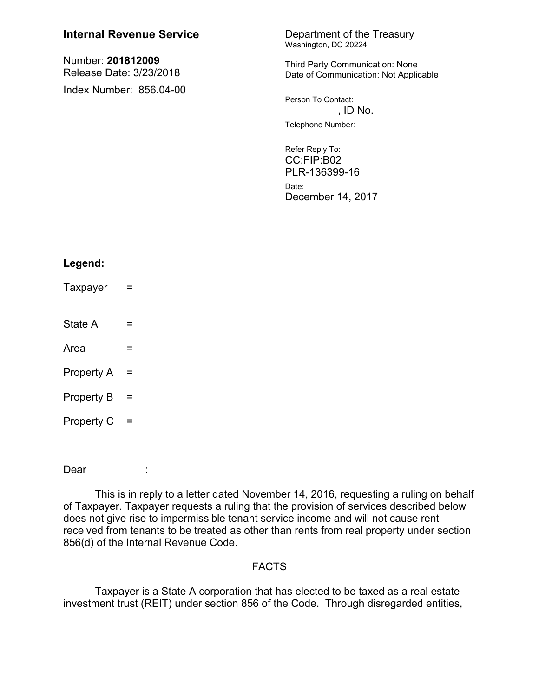| <b>Internal Revenue Service</b>              | Department of the Treasury<br>Washington, DC 20224                                                                                  |
|----------------------------------------------|-------------------------------------------------------------------------------------------------------------------------------------|
| Number: 201812009<br>Release Date: 3/23/2018 | Third Party Communication: None<br>Date of Communication: Not Applicable                                                            |
| Index Number: 856.04-00                      | Person To Contact:<br>, ID No.<br>Telephone Number:<br>Refer Reply To:<br>CC:FIP:B02<br>PLR-136399-16<br>Date:<br>December 14, 2017 |
|                                              |                                                                                                                                     |

# **Legend:**

- $Taxpayer =$
- State  $A =$

 $Area \t =$ 

- Property  $A =$
- Property  $B =$
- Property  $C =$

Dear :

This is in reply to a letter dated November 14, 2016, requesting a ruling on behalf of Taxpayer. Taxpayer requests a ruling that the provision of services described below does not give rise to impermissible tenant service income and will not cause rent received from tenants to be treated as other than rents from real property under section 856(d) of the Internal Revenue Code.

## FACTS

Taxpayer is a State A corporation that has elected to be taxed as a real estate investment trust (REIT) under section 856 of the Code. Through disregarded entities,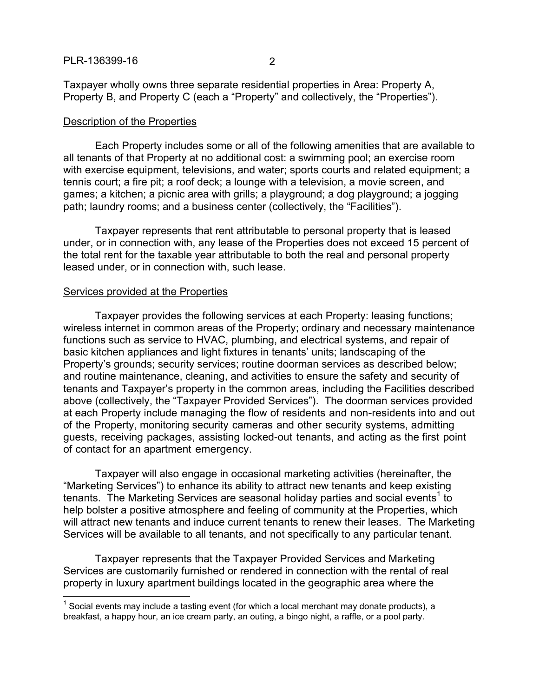Taxpayer wholly owns three separate residential properties in Area: Property A, Property B, and Property C (each a "Property" and collectively, the "Properties").

#### Description of the Properties

Each Property includes some or all of the following amenities that are available to all tenants of that Property at no additional cost: a swimming pool; an exercise room with exercise equipment, televisions, and water; sports courts and related equipment; a tennis court; a fire pit; a roof deck; a lounge with a television, a movie screen, and games; a kitchen; a picnic area with grills; a playground; a dog playground; a jogging path; laundry rooms; and a business center (collectively, the "Facilities").

Taxpayer represents that rent attributable to personal property that is leased under, or in connection with, any lease of the Properties does not exceed 15 percent of the total rent for the taxable year attributable to both the real and personal property leased under, or in connection with, such lease.

#### Services provided at the Properties

 $\overline{a}$ 

Taxpayer provides the following services at each Property: leasing functions; wireless internet in common areas of the Property; ordinary and necessary maintenance functions such as service to HVAC, plumbing, and electrical systems, and repair of basic kitchen appliances and light fixtures in tenants' units; landscaping of the Property's grounds; security services; routine doorman services as described below; and routine maintenance, cleaning, and activities to ensure the safety and security of tenants and Taxpayer's property in the common areas, including the Facilities described above (collectively, the "Taxpayer Provided Services"). The doorman services provided at each Property include managing the flow of residents and non-residents into and out of the Property, monitoring security cameras and other security systems, admitting guests, receiving packages, assisting locked-out tenants, and acting as the first point of contact for an apartment emergency.

Taxpayer will also engage in occasional marketing activities (hereinafter, the "Marketing Services") to enhance its ability to attract new tenants and keep existing tenants. The Marketing Services are seasonal holiday parties and social events<sup>1</sup> to help bolster a positive atmosphere and feeling of community at the Properties, which will attract new tenants and induce current tenants to renew their leases. The Marketing Services will be available to all tenants, and not specifically to any particular tenant.

Taxpayer represents that the Taxpayer Provided Services and Marketing Services are customarily furnished or rendered in connection with the rental of real property in luxury apartment buildings located in the geographic area where the

 $1$  Social events may include a tasting event (for which a local merchant may donate products), a breakfast, a happy hour, an ice cream party, an outing, a bingo night, a raffle, or a pool party.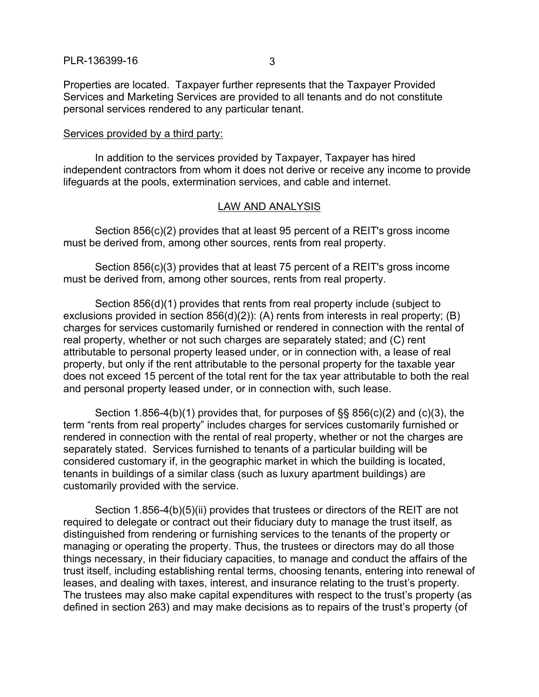Properties are located. Taxpayer further represents that the Taxpayer Provided Services and Marketing Services are provided to all tenants and do not constitute personal services rendered to any particular tenant.

#### Services provided by a third party:

In addition to the services provided by Taxpayer, Taxpayer has hired independent contractors from whom it does not derive or receive any income to provide lifeguards at the pools, extermination services, and cable and internet.

#### LAW AND ANALYSIS

Section 856(c)(2) provides that at least 95 percent of a REIT's gross income must be derived from, among other sources, rents from real property.

Section 856(c)(3) provides that at least 75 percent of a REIT's gross income must be derived from, among other sources, rents from real property.

Section 856(d)(1) provides that rents from real property include (subject to exclusions provided in section 856(d)(2)): (A) rents from interests in real property; (B) charges for services customarily furnished or rendered in connection with the rental of real property, whether or not such charges are separately stated; and (C) rent attributable to personal property leased under, or in connection with, a lease of real property, but only if the rent attributable to the personal property for the taxable year does not exceed 15 percent of the total rent for the tax year attributable to both the real and personal property leased under, or in connection with, such lease.

Section 1.856-4(b)(1) provides that, for purposes of §§ 856(c)(2) and (c)(3), the term "rents from real property" includes charges for services customarily furnished or rendered in connection with the rental of real property, whether or not the charges are separately stated. Services furnished to tenants of a particular building will be considered customary if, in the geographic market in which the building is located, tenants in buildings of a similar class (such as luxury apartment buildings) are customarily provided with the service.

Section 1.856-4(b)(5)(ii) provides that trustees or directors of the REIT are not required to delegate or contract out their fiduciary duty to manage the trust itself, as distinguished from rendering or furnishing services to the tenants of the property or managing or operating the property. Thus, the trustees or directors may do all those things necessary, in their fiduciary capacities, to manage and conduct the affairs of the trust itself, including establishing rental terms, choosing tenants, entering into renewal of leases, and dealing with taxes, interest, and insurance relating to the trust's property. The trustees may also make capital expenditures with respect to the trust's property (as defined in section 263) and may make decisions as to repairs of the trust's property (of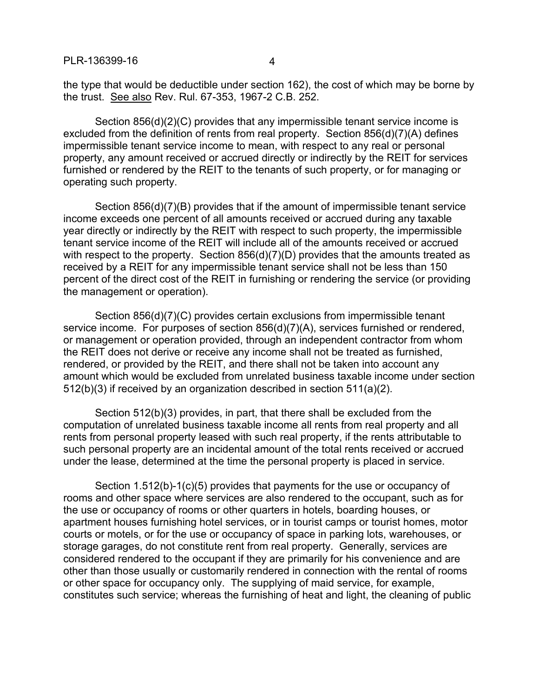the type that would be deductible under section 162), the cost of which may be borne by the trust. See also Rev. Rul. 67-353, 1967-2 C.B. 252.

Section 856(d)(2)(C) provides that any impermissible tenant service income is excluded from the definition of rents from real property. Section 856(d)(7)(A) defines impermissible tenant service income to mean, with respect to any real or personal property, any amount received or accrued directly or indirectly by the REIT for services furnished or rendered by the REIT to the tenants of such property, or for managing or operating such property.

Section 856(d)(7)(B) provides that if the amount of impermissible tenant service income exceeds one percent of all amounts received or accrued during any taxable year directly or indirectly by the REIT with respect to such property, the impermissible tenant service income of the REIT will include all of the amounts received or accrued with respect to the property. Section 856(d)(7)(D) provides that the amounts treated as received by a REIT for any impermissible tenant service shall not be less than 150 percent of the direct cost of the REIT in furnishing or rendering the service (or providing the management or operation).

Section 856(d)(7)(C) provides certain exclusions from impermissible tenant service income. For purposes of section 856(d)(7)(A), services furnished or rendered, or management or operation provided, through an independent contractor from whom the REIT does not derive or receive any income shall not be treated as furnished, rendered, or provided by the REIT, and there shall not be taken into account any amount which would be excluded from unrelated business taxable income under section 512(b)(3) if received by an organization described in section 511(a)(2).

Section 512(b)(3) provides, in part, that there shall be excluded from the computation of unrelated business taxable income all rents from real property and all rents from personal property leased with such real property, if the rents attributable to such personal property are an incidental amount of the total rents received or accrued under the lease, determined at the time the personal property is placed in service.

Section 1.512(b)-1(c)(5) provides that payments for the use or occupancy of rooms and other space where services are also rendered to the occupant, such as for the use or occupancy of rooms or other quarters in hotels, boarding houses, or apartment houses furnishing hotel services, or in tourist camps or tourist homes, motor courts or motels, or for the use or occupancy of space in parking lots, warehouses, or storage garages, do not constitute rent from real property. Generally, services are considered rendered to the occupant if they are primarily for his convenience and are other than those usually or customarily rendered in connection with the rental of rooms or other space for occupancy only. The supplying of maid service, for example, constitutes such service; whereas the furnishing of heat and light, the cleaning of public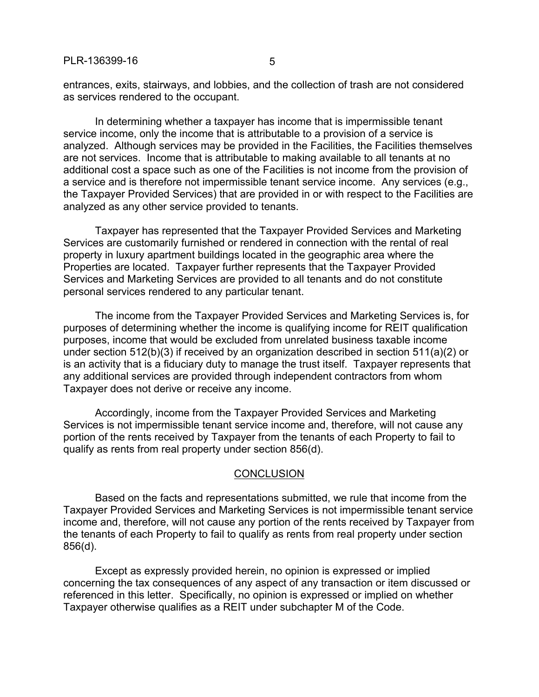entrances, exits, stairways, and lobbies, and the collection of trash are not considered as services rendered to the occupant.

In determining whether a taxpayer has income that is impermissible tenant service income, only the income that is attributable to a provision of a service is analyzed. Although services may be provided in the Facilities, the Facilities themselves are not services. Income that is attributable to making available to all tenants at no additional cost a space such as one of the Facilities is not income from the provision of a service and is therefore not impermissible tenant service income. Any services (e.g., the Taxpayer Provided Services) that are provided in or with respect to the Facilities are analyzed as any other service provided to tenants.

Taxpayer has represented that the Taxpayer Provided Services and Marketing Services are customarily furnished or rendered in connection with the rental of real property in luxury apartment buildings located in the geographic area where the Properties are located. Taxpayer further represents that the Taxpayer Provided Services and Marketing Services are provided to all tenants and do not constitute personal services rendered to any particular tenant.

The income from the Taxpayer Provided Services and Marketing Services is, for purposes of determining whether the income is qualifying income for REIT qualification purposes, income that would be excluded from unrelated business taxable income under section 512(b)(3) if received by an organization described in section 511(a)(2) or is an activity that is a fiduciary duty to manage the trust itself. Taxpayer represents that any additional services are provided through independent contractors from whom Taxpayer does not derive or receive any income.

Accordingly, income from the Taxpayer Provided Services and Marketing Services is not impermissible tenant service income and, therefore, will not cause any portion of the rents received by Taxpayer from the tenants of each Property to fail to qualify as rents from real property under section 856(d).

### **CONCLUSION**

Based on the facts and representations submitted, we rule that income from the Taxpayer Provided Services and Marketing Services is not impermissible tenant service income and, therefore, will not cause any portion of the rents received by Taxpayer from the tenants of each Property to fail to qualify as rents from real property under section 856(d).

Except as expressly provided herein, no opinion is expressed or implied concerning the tax consequences of any aspect of any transaction or item discussed or referenced in this letter. Specifically, no opinion is expressed or implied on whether Taxpayer otherwise qualifies as a REIT under subchapter M of the Code.